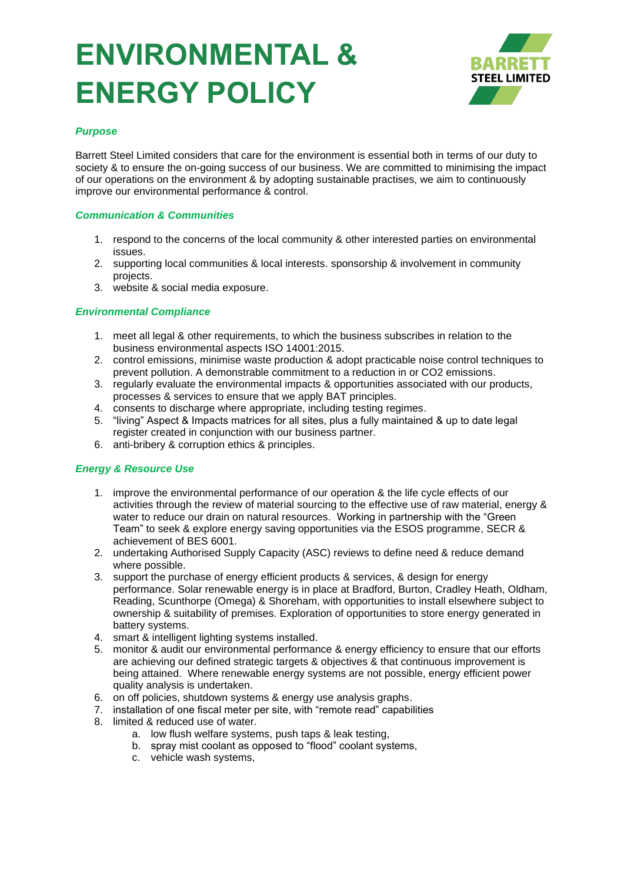# **ENVIRONMENTAL & ENERGY POLICY**



## *Purpose*

Barrett Steel Limited considers that care for the environment is essential both in terms of our duty to society & to ensure the on-going success of our business. We are committed to minimising the impact of our operations on the environment & by adopting sustainable practises, we aim to continuously improve our environmental performance & control.

### *Communication & Communities*

- 1. respond to the concerns of the local community & other interested parties on environmental issues.
- 2. supporting local communities & local interests. sponsorship & involvement in community projects.
- 3. website & social media exposure.

#### *Environmental Compliance*

- 1. meet all legal & other requirements, to which the business subscribes in relation to the business environmental aspects ISO 14001:2015.
- 2. control emissions, minimise waste production & adopt practicable noise control techniques to prevent pollution. A demonstrable commitment to a reduction in or CO2 emissions.
- 3. regularly evaluate the environmental impacts & opportunities associated with our products, processes & services to ensure that we apply BAT principles.
- 4. consents to discharge where appropriate, including testing regimes.
- 5. "living" Aspect & Impacts matrices for all sites, plus a fully maintained & up to date legal register created in conjunction with our business partner.
- 6. anti-bribery & corruption ethics & principles.

#### *Energy & Resource Use*

- 1. improve the environmental performance of our operation & the life cycle effects of our activities through the review of material sourcing to the effective use of raw material, energy & water to reduce our drain on natural resources. Working in partnership with the "Green Team" to seek & explore energy saving opportunities via the ESOS programme, SECR & achievement of BES 6001.
- 2. undertaking Authorised Supply Capacity (ASC) reviews to define need & reduce demand where possible.
- 3. support the purchase of energy efficient products & services, & design for energy performance. Solar renewable energy is in place at Bradford, Burton, Cradley Heath, Oldham, Reading, Scunthorpe (Omega) & Shoreham, with opportunities to install elsewhere subject to ownership & suitability of premises. Exploration of opportunities to store energy generated in battery systems.
- 4. smart & intelligent lighting systems installed.
- 5. monitor & audit our environmental performance & energy efficiency to ensure that our efforts are achieving our defined strategic targets & objectives & that continuous improvement is being attained. Where renewable energy systems are not possible, energy efficient power quality analysis is undertaken.
- 6. on off policies, shutdown systems & energy use analysis graphs.
- 7. installation of one fiscal meter per site, with "remote read" capabilities
- 8. limited & reduced use of water.
	- a. low flush welfare systems, push taps & leak testing,
	- b. spray mist coolant as opposed to "flood" coolant systems,
	- c. vehicle wash systems,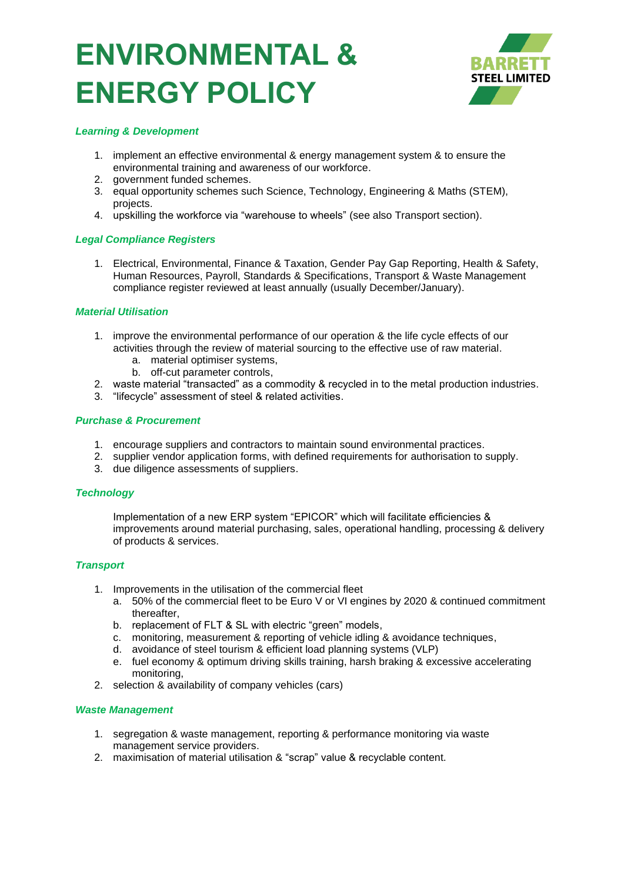## **ENVIRONMENTAL & ENERGY POLICY**



### *Learning & Development*

- 1. implement an effective environmental & energy management system & to ensure the environmental training and awareness of our workforce.
- 2. government funded schemes.
- 3. equal opportunity schemes such Science, Technology, Engineering & Maths (STEM), projects.
- 4. upskilling the workforce via "warehouse to wheels" (see also Transport section).

## *Legal Compliance Registers*

1. Electrical, Environmental, Finance & Taxation, Gender Pay Gap Reporting, Health & Safety, Human Resources, Payroll, Standards & Specifications, Transport & Waste Management compliance register reviewed at least annually (usually December/January).

## *Material Utilisation*

- 1. improve the environmental performance of our operation & the life cycle effects of our activities through the review of material sourcing to the effective use of raw material.
	- a. material optimiser systems,
	- b. off-cut parameter controls,
- 2. waste material "transacted" as a commodity & recycled in to the metal production industries.
- 3. "lifecycle" assessment of steel & related activities.

## *Purchase & Procurement*

- 1. encourage suppliers and contractors to maintain sound environmental practices.
- 2. supplier vendor application forms, with defined requirements for authorisation to supply.
- 3. due diligence assessments of suppliers.

#### *Technology*

Implementation of a new ERP system "EPICOR" which will facilitate efficiencies & improvements around material purchasing, sales, operational handling, processing & delivery of products & services.

#### *Transport*

- 1. Improvements in the utilisation of the commercial fleet
	- a. 50% of the commercial fleet to be Euro V or VI engines by 2020 & continued commitment thereafter,
	- b. replacement of FLT & SL with electric "green" models,
	- c. monitoring, measurement & reporting of vehicle idling & avoidance techniques,
	- d. avoidance of steel tourism & efficient load planning systems (VLP)
	- e. fuel economy & optimum driving skills training, harsh braking & excessive accelerating monitoring,
- 2. selection & availability of company vehicles (cars)

#### *Waste Management*

- 1. segregation & waste management, reporting & performance monitoring via waste management service providers.
- 2. maximisation of material utilisation & "scrap" value & recyclable content.